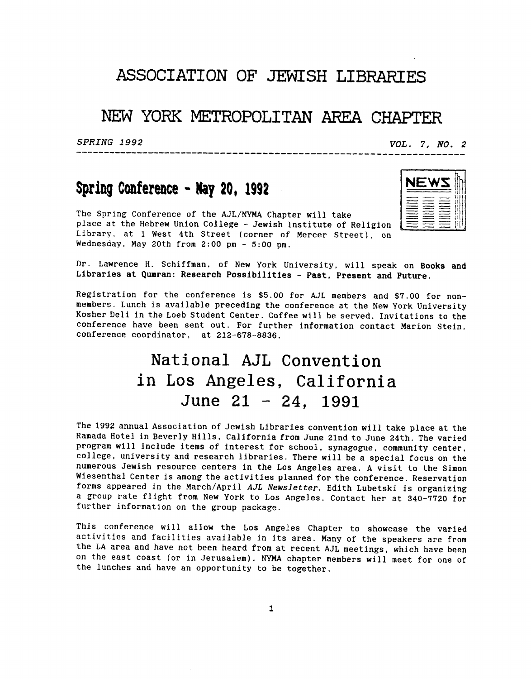## **ASSOCIATION OF** JEWISH **LIBRARIES**

## **NEW YORK METRQPOLITAN** AREA **CHAPTER**

---------------------

SPRING 1992

VOL. 7, NO. 2

# **Spring Conference** - **by 20, 1992**

The Spring Conference of the AJL/NYMA Chapter will take place at the Hebrew Union College - Jewish Institute of Religion Library, at 1 West 4th Street (corner of Mercer Street), on Wednesday, May 20th from 2:OO pm - **5:OO** pm.



Dr. Lawrence H. Schiffman, of New York University, will speak on Books and bi. Bawrence n. Schlifman, of New York University, will speak on Boom<br>Libraries at Qumran: Research Possibilities - P<mark>ast, Present and Future</mark>.

Registration for the conference is \$5.00 for AJL members and \$7.00 for nonmembers. Lunch is available preceding the conference at the New York University Kosher Deli in the Loeb Student Center. Coffee will be served. Invitations to the conference have been sent out. For further information contact Marion Stein, conference coordinator, at 212-678-8836.

# National **AJL** Convention in Los Angeles, California June **21** - 24, **<sup>1991</sup>**

The 1992 annual Association of Jewish Libraries convention will take place at the Ramada Hotel in Beverly Hills, California from June 21nd to June 24th. The varied program will include items of interest for school, synagogue, community center, college, university and research libraries. There will be a special focus on the numerous Jewish resource centers in the Los Angeles area. A visit to the Simon Wiesenthal Center is among the activities planned for the conference. Reservation forms appeared in the March/April *AJL* Newsletter. Edith Lubetski is organizing **a** group rate flight from New York to Los Angeles. Contact her at 340-7720 for further information on the group package.

This conference will allow the Los Angeles Chapter to showcase the varied activities and facilities available in its area. Many of the speakers are from the LA area and have not been heard from at recent AJL meetings, which have been on the east coast (or in Jerusalem). NYMA chapter members will meet for one of the lunches and have an opportunity to be together.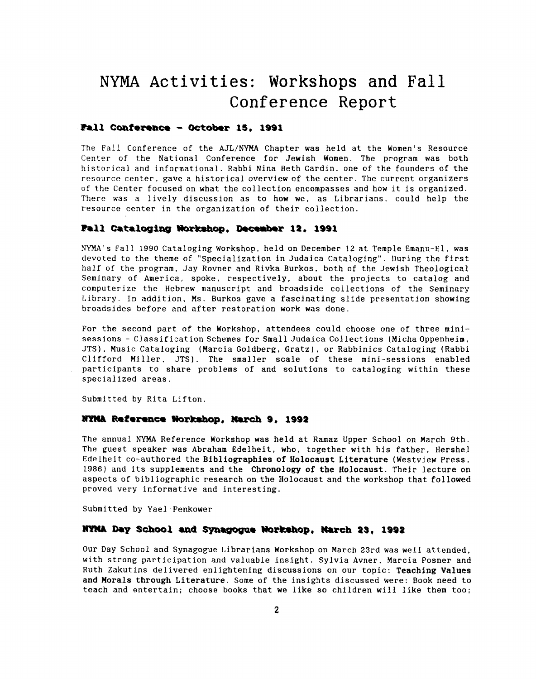# **NYMA Activities:** Workshops and Fall **Conference** Report

### **Fall Conference - October 15. 1991**

The Fall Conference of the AJL/NYMA Chapter was held at the Women's Resource Center of the National Conference for Jewish Women. The program was both historical and informational. Rabbi Nina Beth Cardin. one of the founders of the resource center, gave a historical overview of the center. The current organizers of the Center focused on what the collection encompasses and how it is organized. There was a lively discussion as to how we, as Librarians, could help the resource center in the organization of their collection.

#### **hll cataloging #orbhop, DeceRber 11. 1991**

**NYMA's** Fall 1990 Cataloging Workshop, held on December **12** at Temple Emanu-El, was devoted to the theme of "Specialization in Judaica Cataloging". During the first half of the program, Jay Rovner and Rivka Burkos, both of the Jewish Theological Seminary of America, spoke, respectively, about the projects to catalog and computerize the Hebrew manuscript and broadside collections of the Seminary Library. In addition, Ms. Burkos gave a fascinating slide presentation showing broadsides before and after restoration work was done.

For the second part of the Workshop, attendees could choose one of three minisessions - Classification Schemes for Small Judaica Collections (Micha Oppenheim, JTS), Music Cataloging (Marcia Goldberg, Gratz), or Rabbinics Cataloging (Rabbi Clifford Miller, JTS). The smaller scale of these mini-sessions enabled participants to share problems of and solutions to cataloging within these specialized areas.

Submitted by Rita Lifton.

#### **RYMA Reference Workshop, March 9, 1992**

The annual **NYMA** Reference Workshop was held at Ramaz Upper School on March 9th. The guest speaker was Abraham Edelheit, who, together with his father, Hershel Edelheit co-authored the **Bibliographies** of **Holocaust Literature** (Westview Press. **1986)** and its supplements and the **Chronology of the Holocaust.** Their lecture on aspects of bibliographic research on the Holocaust and the workshop that followed proved very informative and interesting.

Submitted by Yael Penkower

### **HYMA Day School and Synagogue Workshop, March 23, 1992**

Our Day School and Synagogue Librarians Workshop on March 23rd was well attended, with strong participation and valuable insight. Sylvia Avner, Marcia Posner and Ruth Zakutins delivered enlightening discussions on our topic: **Teaching Values**  and **Morals through Literature.** Some **of** the insights discussed were: Book need to teach and entertain; choose books that we like *so* children will like them too;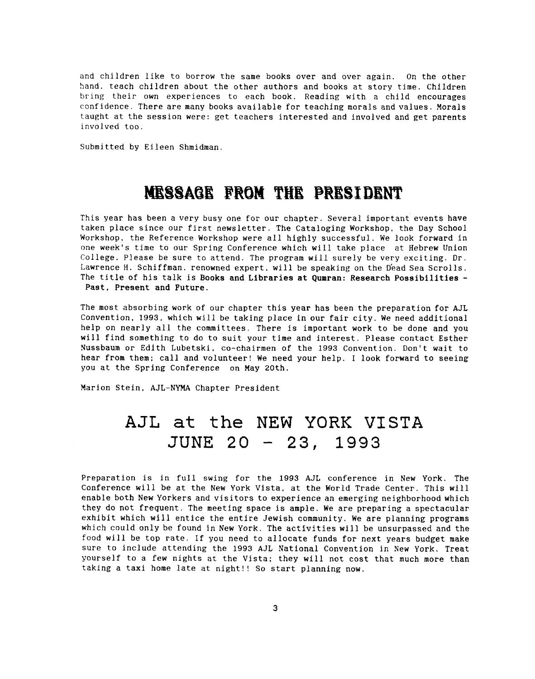and children like to borrow the same books over and over again. On the other hand. teach children about the other authors and books at story time. Children bring their own experiences to each book. Reading with a child encourages confidence. There are many books available for teaching morals and values. Morals taught at the session were: get teachers interested and involved and get parents involved too.

Submitted by Eileen Shmidman.

# MESSAGE FROM THE PRESIDENT

This year has been a very busy one for our chapter. Several important events have taken place since our first newsletter. The Cataloging Workshop, the Day School Workshop, the Reference Workshop were all highly successful. We look forward in one week's time to our Spring Conference which will take place at Hebrew Union College. Please be sure to attend. The program will surely be very exciting. Dr. Lawrence H. Schiffman, renowned expert, will be speaking on the Dead Sea Scrolls. The title of his talk is **Books** and Libraries at Qumran: Research Possibilities - Past. Present and Future.

The most absorbing work of our chapter this year has been the preparation for AJL Convention, **1993,** which will be taking place in our fair city. We need additional help on nearly all the committees. There is important work to be done and you will find something to do to suit your time and interest. Please contact Esther Nussbaum or Edith Lubetski, co-chairmen of the **1993** Convention. Don't wait to hear from them: call and volunteer! We need your help. I look forward to seeing you at the Spring Conference on May 20th.

Marion Stein, AJL-NYMA Chapter President

# **AJL at** the NEW YORK **VISTA**  JUNE 20 - **23, 1933**

Preparation is in full swing for the **1993** AJL conference in New York. The Conference will be at the New York Vista, at the World Trade Center. This will enable both New Yorkers and visitors to experience an emerging neighborhood which they do not frequent. The meeting space is ample. We are preparing a spectacular exhibit which will entice the entire Jewish community. We are planning programs which could only be found in New York. The activities will be unsurpassed and the food will be top rate. If you need to allocate funds for next years budget make sure to include attending the **1993** AJL National Convention in New York. Treat yourself to a few nights at the Vista: they will not cost that much more than taking a taxi home late at night!! So start planning now.